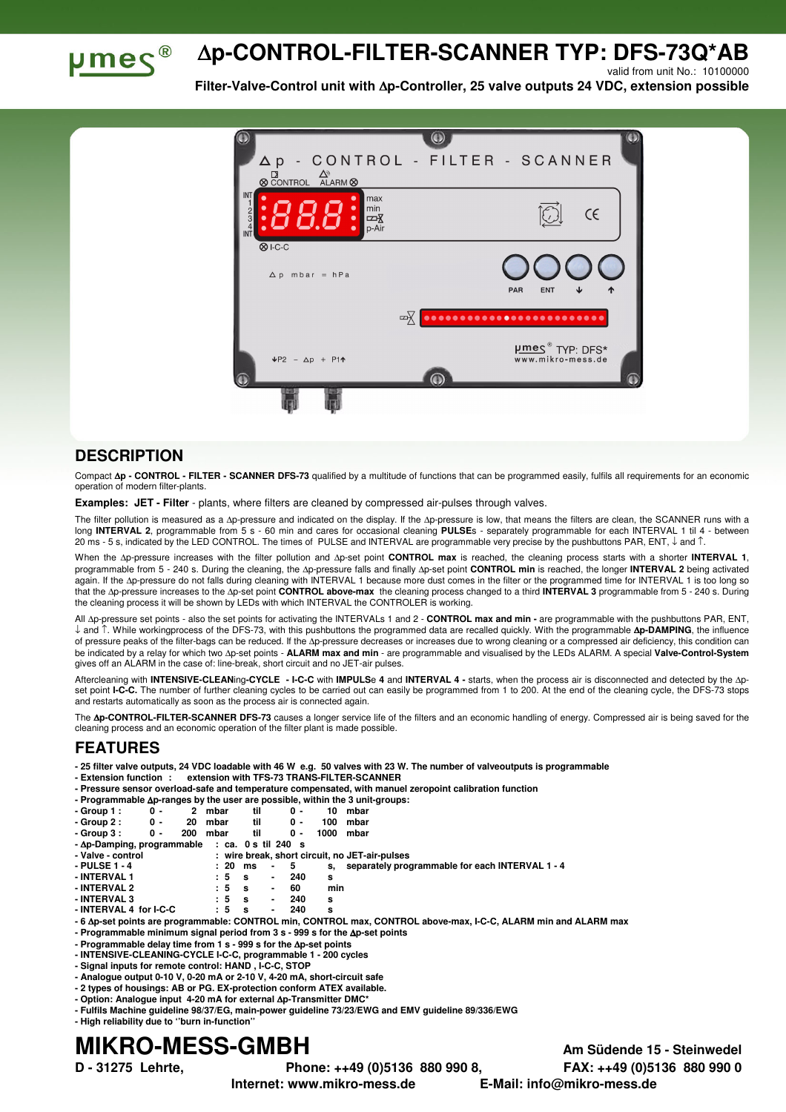

## ∆**p-CONTROL-FILTER-SCANNER TYP: DFS-73Q\*AB**

valid from unit No.: 10100000

**Filter-Valve-Control unit with** ∆**p-Controller, 25 valve outputs 24 VDC, extension possible** 



## **DESCRIPTION**

Compact ∆**p - CONTROL - FILTER - SCANNER DFS-73** qualified by a multitude of functions that can be programmed easily, fulfils all requirements for an economic operation of modern filter-plants.

**Examples: JET - Filter** - plants, where filters are cleaned by compressed air-pulses through valves.

The filter pollution is measured as a ∆p-pressure and indicated on the display. If the ∆p-pressure is low, that means the filters are clean, the SCANNER runs with a long **INTERVAL 2**, programmable from 5 s - 60 min and cares for occasional cleaning **PULSE**s - separately programmable for each INTERVAL 1 til 4 - between 20 ms - 5 s, indicated by the LED CONTROL. The times of PULSE and INTERVAL are programmable very precise by the pushbuttons PAR, ENT, ↓ and ↑.

When the ∆p-pressure increases with the filter pollution and ∆p-set point **CONTROL max** is reached, the cleaning process starts with a shorter **INTERVAL 1**, programmable from 5 - 240 s. During the cleaning, the ∆p-pressure falls and finally ∆p-set point **CONTROL min** is reached, the longer **INTERVAL 2** being activated again. If the ∆p-pressure do not falls during cleaning with INTERVAL 1 because more dust comes in the filter or the programmed time for INTERVAL 1 is too long so that the ∆p-pressure increases to the ∆p-set point **CONTROL above-max** the cleaning process changed to a third **INTERVAL 3** programmable from 5 - 240 s. During the cleaning process it will be shown by LEDs with which INTERVAL the CONTROLER is working.

All ∆p-pressure set points - also the set points for activating the INTERVALs 1 and 2 - **CONTROL max and min -** are programmable with the pushbuttons PAR, ENT, ↓ and ↑. While workingprocess of the DFS-73, with this pushbuttons the programmed data are recalled quickly. With the programmable ∆**p-DAMPING**, the influence of pressure peaks of the filter-bags can be reduced. If the ∆p-pressure decreases or increases due to wrong cleaning or a compressed air deficiency, this condition can be indicated by a relay for which two ∆p-set points - **ALARM max and min** - are programmable and visualised by the LEDs ALARM. A special **Valve-Control-System** gives off an ALARM in the case of: line-break, short circuit and no JET-air pulses.

Aftercleaning with **INTENSIVE-CLEAN**ing**-CYCLE - I-C-C** with **IMPULS**e **4** and **INTERVAL 4 -** starts, when the process air is disconnected and detected by the ∆pset point I-C-C. The number of further cleaning cycles to be carried out can easily be programmed from 1 to 200. At the end of the cleaning cycle, the DFS-73 stops and restarts automatically as soon as the process air is connected again.

The **Ap-CONTROL-FILTER-SCANNER DFS-73** causes a longer service life of the filters and an economic handling of energy. Compressed air is being saved for the cleaning process and an economic operation of the filter plant is made possible.

## **FEATURES**

- **25 filter valve outputs, 24 VDC loadable with 46 W e.g. 50 valves with 23 W. The number of valveoutputs is programmable**
- **Extension function : extension with TFS-73 TRANS-FILTER-SCANNER**
- **Pressure sensor overload-safe and temperature compensated, with manuel zeropoint calibration function**

| - Programmable $\Delta p$ -ranges by the user are possible, within the 3 unit-groups: |  |  |  |  |
|---------------------------------------------------------------------------------------|--|--|--|--|
|                                                                                       |  |  |  |  |

| $-Group 1:$ | ი - | 2 mbar  | ი - | 10 mbar  |  |
|-------------|-----|---------|-----|----------|--|
| - Group 2 : | 0 - | 20 mbar |     | 100 mbar |  |

| $-$ GIVUD 4. | . . | zu ilibal | $\mathbf{u}$ |               | ווסעווו טעו |  |
|--------------|-----|-----------|--------------|---------------|-------------|--|
| - Group 3 :  | 0 - | 200 mbar  |              | 0 - 1000 mbar |             |  |

| - Ap-Damping, programmable : ca. 0 s til 240 s |  |  |  |  |
|------------------------------------------------|--|--|--|--|
|                                                |  |  |  |  |

| - Valve - control |  |             |             | : wire break, short circuit, no JET-air-pulses     |
|-------------------|--|-------------|-------------|----------------------------------------------------|
| - PULSE 1 - 4     |  | : 20 ms - 5 |             | s, separately programmable for each INTERVAL 1 - 4 |
| - INTERVAL 1      |  |             | : 5 s - 240 |                                                    |

- **INTERVAL 1 : 5 s 240 s**
- **INTERVAL 2** : 5<br> **INTERVAL 3** : 5
- **INTERVAL 3 : 5 s 240 s - INTERVAL 4 for I-C-C : 5 s - 240 s**
- **6** ∆**p-set points are programmable: CONTROL min, CONTROL max, CONTROL above-max, I-C-C, ALARM min and ALARM max**
- **Programmable minimum signal period from 3 s 999 s for the** ∆**p-set points**
- **Programmable delay time from 1 s 999 s for the** ∆**p-set points**
- **INTENSIVE-CLEANING-CYCLE I-C-C, programmable 1 200 cycles**
- **Signal inputs for remote control: HAND , I-C-C, STOP**
- **Analogue output 0-10 V, 0-20 mA or 2-10 V, 4-20 mA, short-circuit safe**
- **2 types of housings: AB or PG. EX-protection conform ATEX available.**
- **Option: Analogue input 4-20 mA for external** ∆**p-Transmitter DMC\***
- **Fulfils Machine guideline 98/37/EG, main-power guideline 73/23/EWG and EMV guideline 89/336/EWG**
- **High reliability due to ''burn in-function''**

## **MIKRO-MESS-GMBH Am Südende 15 - Steinwedel**

**D - 31275 Lehrte, Phone: ++49 (0)5136 880 990 8, FAX: ++49 (0)5136 880 990 0** 

**Internet: www.mikro-mess.de E-Mail: info@mikro-mess.de**